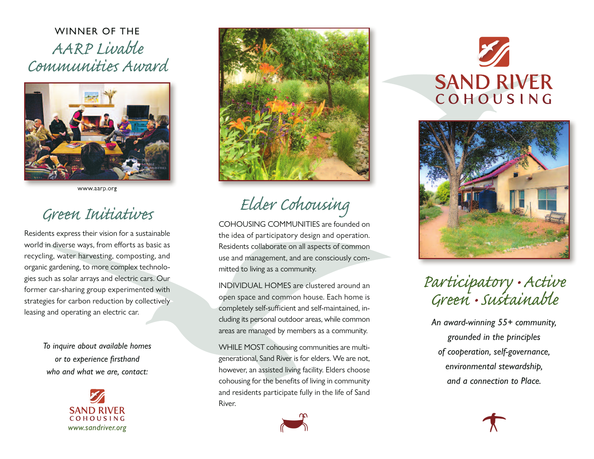WINNER OF THE AARP Livable Communities Award



[www.aarp.org](http://www.aarp.org)

## Green Initiativ

Residents express their vision for a sustainable world in diverse ways, from efforts as basic as recycling, water harvesting, composting, and organic gardening, to more complex technologies such as solar arrays and electric cars. Our former car-sharing group experimented with strategies for carbon reduction by collectively leasing and operating an electric car.

> *To inquire about available homes*  $or to experience$  *firsthand who and what we are, contact:*





Elder Cohousing

COHOUSING COMMUNITIES are founded on the idea of participatory design and operation. Residents collaborate on all aspects of common use and management, and are consciously committed to living as a community.

INDIVIDUAL HOMES are clustered around an open space and common house. Each home is completely self-sufficient and self-maintained, including its personal outdoor areas, while common areas are managed by members as a community.

WHILE MOST cohousing communities are multigenerational, Sand River is for elders. We are not, however, an assisted living facility. Elders choose cohousing for the benefits of living in community and residents participate fully in the life of Sand River.



**SAND RIVER** COHOUSING



## Participatory • Active Green •Sustainable

*An award-winning 55+ community, grounded in the principles of cooperation, self-governance, environmental stewardship, and a connection to Place.*